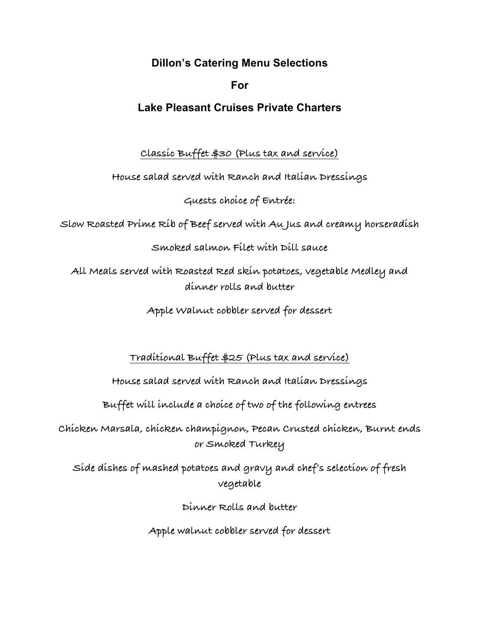**Dillon's Catering Menu Selections**

## **For**

# **Lake Pleasant Cruises Private Charters**

**Classic Buffet \$30 (Plus tax and service)**

**House salad served with Ranch and Italian Dressings**

**Guests choice of Entrée:**

**Slow Roasted Prime Rib of Beef served with Au Jus and creamy horseradish**

### **Smoked salmon Filet with Dill sauce**

**All Meals served with Roasted Red skin potatoes, vegetable Medley and dinner rolls and butter**

**Apple Walnut cobbler served for dessert**

**Traditional Buffet \$25 (Plus tax and service)**

**House salad served with Ranch and Italian Dressings**

**Buffet will include a choice of two of the following entrees**

**Chicken Marsala, chicken champignon, Pecan Crusted chicken, Burnt ends or Smoked Turkey**

**Side dishes of mashed potatoes and gravy and chef's selection of fresh vegetable**

**Dinner Rolls and butter**

**Apple walnut cobbler served for dessert**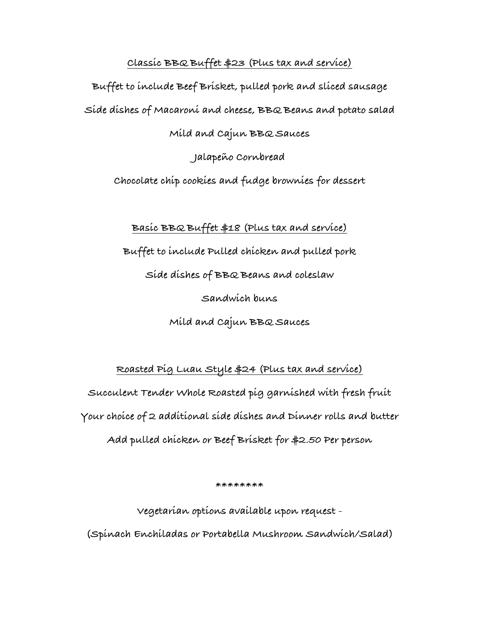#### **Classic BBQ Buffet \$23 (Plus tax and service)**

**Buffet to include Beef Brisket, pulled pork and sliced sausage**

**Side dishes of Macaroni and cheese, BBQ Beans and potato salad**

#### **Mild and Cajun BBQ Sauces**

**Jalapeño Cornbread**

**Chocolate chip cookies and fudge brownies for dessert**

#### **Basic BBQ Buffet \$18 (Plus tax and service)**

**Buffet to include Pulled chicken and pulled pork**

**Side dishes of BBQ Beans and coleslaw**

**Sandwich buns**

**Mild and Cajun BBQ Sauces**

#### **Roasted Pig Luau Style \$24 (Plus tax and service)**

**Succulent Tender Whole Roasted pig garnished with fresh fruit Your choice of 2 additional side dishes and Dinner rolls and butter Add pulled chicken or Beef Brisket for \$2.50 Per person**

**\*\*\*\*\*\*\*\***

**Vegetarian options available upon request -**

**(Spinach Enchiladas or Portabella Mushroom Sandwich/Salad)**